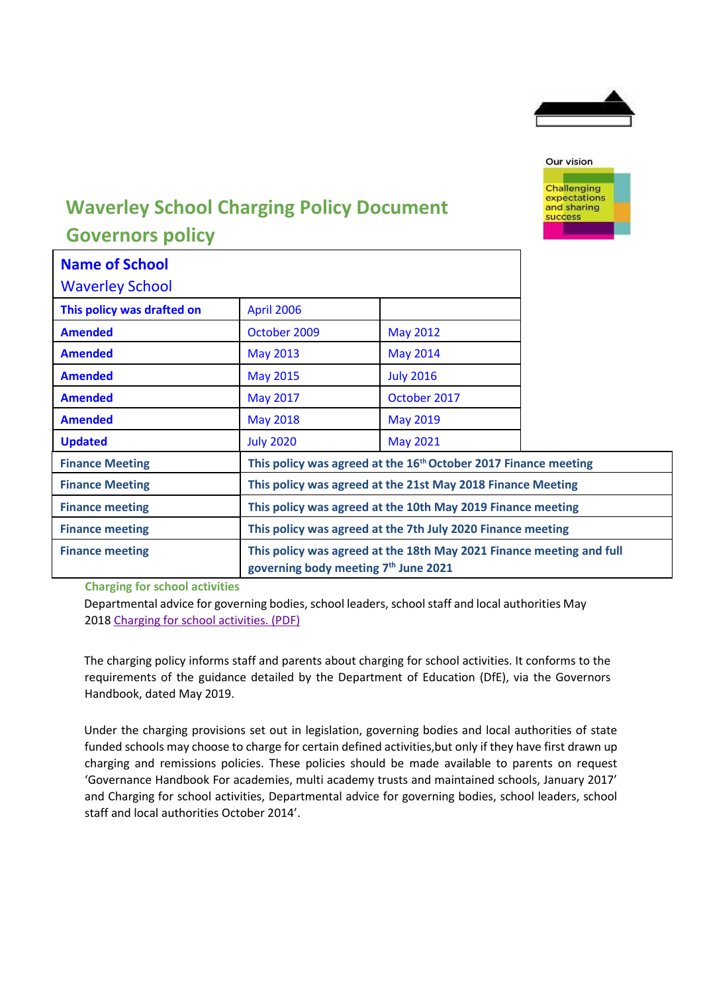



## **Waverley School Charging Policy Document Governors policy**

| <b>Name of School</b>      |                                                                             |                                                                                                              |  |  |
|----------------------------|-----------------------------------------------------------------------------|--------------------------------------------------------------------------------------------------------------|--|--|
| <b>Waverley School</b>     |                                                                             |                                                                                                              |  |  |
| This policy was drafted on | <b>April 2006</b>                                                           |                                                                                                              |  |  |
| <b>Amended</b>             | October 2009                                                                | <b>May 2012</b>                                                                                              |  |  |
| <b>Amended</b>             | <b>May 2013</b>                                                             | <b>May 2014</b>                                                                                              |  |  |
| <b>Amended</b>             | <b>May 2015</b>                                                             | <b>July 2016</b>                                                                                             |  |  |
| <b>Amended</b>             | <b>May 2017</b>                                                             | October 2017                                                                                                 |  |  |
| <b>Amended</b>             | <b>May 2018</b>                                                             | <b>May 2019</b>                                                                                              |  |  |
| <b>Updated</b>             | <b>July 2020</b>                                                            | <b>May 2021</b>                                                                                              |  |  |
| <b>Finance Meeting</b>     | This policy was agreed at the 16 <sup>th</sup> October 2017 Finance meeting |                                                                                                              |  |  |
| <b>Finance Meeting</b>     | This policy was agreed at the 21st May 2018 Finance Meeting                 |                                                                                                              |  |  |
| <b>Finance meeting</b>     | This policy was agreed at the 10th May 2019 Finance meeting                 |                                                                                                              |  |  |
| <b>Finance meeting</b>     | This policy was agreed at the 7th July 2020 Finance meeting                 |                                                                                                              |  |  |
| <b>Finance meeting</b>     |                                                                             | This policy was agreed at the 18th May 2021 Finance meeting and full<br>governing body meeting 7th June 2021 |  |  |

**Charging for school activities**

Departmental advice for governing bodies, school leaders, school staff and local authorities May 201[8 Charging for school activities. \(PDF\)](https://assets.publishing.service.gov.uk/government/uploads/system/uploads/attachment_data/file/706830/Charging_for_school_activities.pdf)

The charging policy informs staff and parents about charging for school activities. It conforms to the requirements of the guidance detailed by the Department of Education (DfE), via the Governors Handbook, dated May 2019.

Under the charging provisions set out in legislation, governing bodies and local authorities of state funded schools may choose to charge for certain defined activities,but only if they have first drawn up charging and remissions policies. These policies should be made available to parents on request 'Governance Handbook For academies, multi academy trusts and maintained schools, January 2017' and Charging for school activities, Departmental advice for governing bodies, school leaders, school staff and local authorities October 2014'.